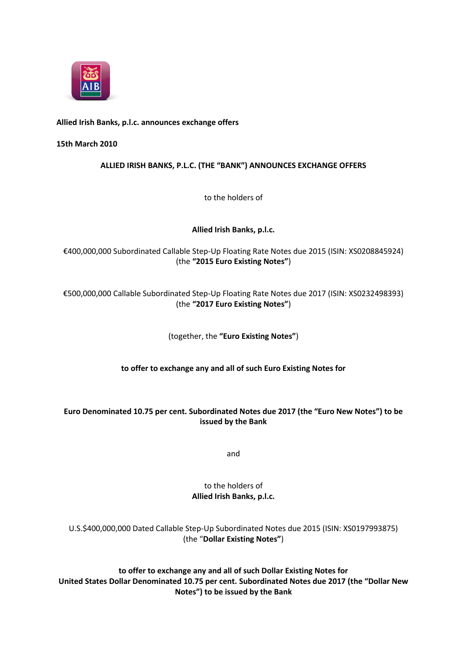

## **Allied Irish Banks, p.l.c. announces exchange offers**

#### **15th March 2010**

## **ALLIED IRISH BANKS, P.L.C. (THE "BANK") ANNOUNCES EXCHANGE OFFERS**

to the holders of

## **Allied Irish Banks, p.l.c.**

€400,000,000 Subordinated Callable Step-Up Floating Rate Notes due 2015 (ISIN: XS0208845924) (the **"2015 Euro Existing Notes"**)

# €500,000,000 Callable Subordinated Step-Up Floating Rate Notes due 2017 (ISIN: XS0232498393) (the **"2017 Euro Existing Notes"**)

#### (together, the **"Euro Existing Notes"**)

#### **to offer to exchange any and all of such Euro Existing Notes for**

## **Euro Denominated 10.75 per cent. Subordinated Notes due 2017 (the "Euro New Notes") to be issued by the Bank**

and

# to the holders of **Allied Irish Banks, p.l.c.**

U.S.\$400,000,000 Dated Callable Step-Up Subordinated Notes due 2015 (ISIN: XS0197993875) (the "**Dollar Existing Notes"**)

**to offer to exchange any and all of such Dollar Existing Notes for United States Dollar Denominated 10.75 per cent. Subordinated Notes due 2017 (the "Dollar New Notes") to be issued by the Bank**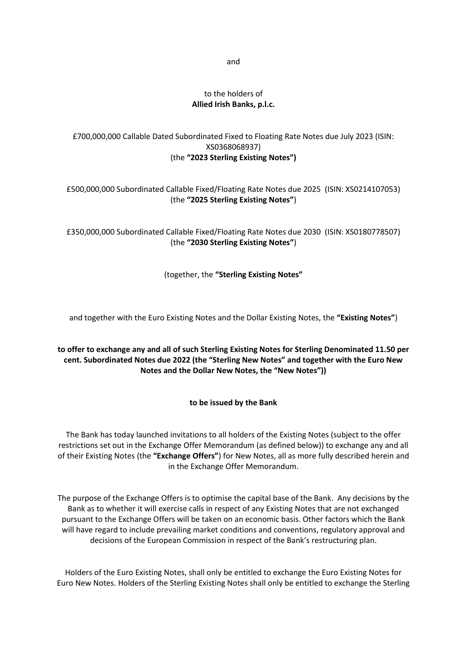## to the holders of **Allied Irish Banks, p.l.c.**

# £700,000,000 Callable Dated Subordinated Fixed to Floating Rate Notes due July 2023 (ISIN: XS0368068937) (the **"2023 Sterling Existing Notes")**

# £500,000,000 Subordinated Callable Fixed/Floating Rate Notes due 2025 (ISIN: XS0214107053) (the **"2025 Sterling Existing Notes"**)

£350,000,000 Subordinated Callable Fixed/Floating Rate Notes due 2030 (ISIN: XS0180778507) (the **"2030 Sterling Existing Notes"**)

(together, the **"Sterling Existing Notes"**

and together with the Euro Existing Notes and the Dollar Existing Notes, the **"Existing Notes"**)

# **to offer to exchange any and all of such Sterling Existing Notes for Sterling Denominated 11.50 per cent. Subordinated Notes due 2022 (the "Sterling New Notes" and together with the Euro New Notes and the Dollar New Notes, the "New Notes"))**

# **to be issued by the Bank**

The Bank has today launched invitations to all holders of the Existing Notes (subject to the offer restrictions set out in the Exchange Offer Memorandum (as defined below)) to exchange any and all of their Existing Notes (the **"Exchange Offers"**) for New Notes, all as more fully described herein and in the Exchange Offer Memorandum.

The purpose of the Exchange Offers is to optimise the capital base of the Bank. Any decisions by the Bank as to whether it will exercise calls in respect of any Existing Notes that are not exchanged pursuant to the Exchange Offers will be taken on an economic basis. Other factors which the Bank will have regard to include prevailing market conditions and conventions, regulatory approval and decisions of the European Commission in respect of the Bank's restructuring plan.

Holders of the Euro Existing Notes, shall only be entitled to exchange the Euro Existing Notes for Euro New Notes. Holders of the Sterling Existing Notes shall only be entitled to exchange the Sterling

and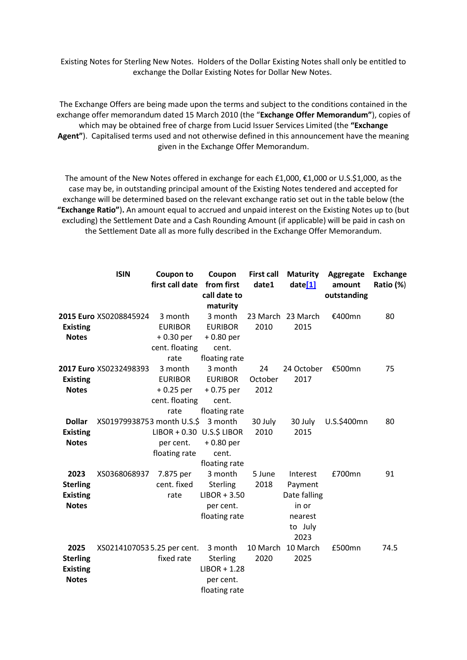Existing Notes for Sterling New Notes. Holders of the Dollar Existing Notes shall only be entitled to exchange the Dollar Existing Notes for Dollar New Notes.

The Exchange Offers are being made upon the terms and subject to the conditions contained in the exchange offer memorandum dated 15 March 2010 (the "**Exchange Offer Memorandum"**), copies of which may be obtained free of charge from Lucid Issuer Services Limited (the **"Exchange Agent"**). Capitalised terms used and not otherwise defined in this announcement have the meaning given in the Exchange Offer Memorandum.

The amount of the New Notes offered in exchange for each £1,000, €1,000 or U.S.\$1,000, as the case may be, in outstanding principal amount of the Existing Notes tendered and accepted for exchange will be determined based on the relevant exchange ratio set out in the table below (the **"Exchange Ratio"**)**.** An amount equal to accrued and unpaid interest on the Existing Notes up to (but excluding) the Settlement Date and a Cash Rounding Amount (if applicable) will be paid in cash on the Settlement Date all as more fully described in the Exchange Offer Memorandum.

|                 | <b>ISIN</b>                | Coupon to                 | Coupon          | <b>First call</b> | <b>Maturity</b>   | Aggregate   | <b>Exchange</b> |
|-----------------|----------------------------|---------------------------|-----------------|-------------------|-------------------|-------------|-----------------|
|                 |                            | first call date           | from first      | date1             | date[1]           | amount      | Ratio (%)       |
|                 |                            |                           | call date to    |                   |                   | outstanding |                 |
|                 |                            |                           | maturity        |                   |                   |             |                 |
|                 | 2015 Euro XS0208845924     | 3 month                   | 3 month         |                   | 23 March 23 March | €400mn      | 80              |
| <b>Existing</b> |                            | <b>EURIBOR</b>            | <b>EURIBOR</b>  | 2010              | 2015              |             |                 |
| <b>Notes</b>    |                            | $+0.30$ per               | $+0.80$ per     |                   |                   |             |                 |
|                 |                            | cent. floating            | cent.           |                   |                   |             |                 |
|                 |                            | rate                      | floating rate   |                   |                   |             |                 |
|                 | 2017 Euro XS0232498393     | 3 month                   | 3 month         | 24                | 24 October        | €500mn      | 75              |
| <b>Existing</b> |                            | <b>EURIBOR</b>            | <b>EURIBOR</b>  | October           | 2017              |             |                 |
| <b>Notes</b>    |                            | $+0.25$ per               | $+0.75$ per     | 2012              |                   |             |                 |
|                 |                            | cent. floating            | cent.           |                   |                   |             |                 |
|                 |                            | rate                      | floating rate   |                   |                   |             |                 |
| <b>Dollar</b>   | XS01979938753 month U.S.\$ |                           | 3 month         | 30 July           | 30 July           | U.S.\$400mn | 80              |
| <b>Existing</b> |                            | LIBOR + 0.30 U.S.\$ LIBOR |                 | 2010              | 2015              |             |                 |
| <b>Notes</b>    |                            | per cent.                 | $+0.80$ per     |                   |                   |             |                 |
|                 |                            | floating rate             | cent.           |                   |                   |             |                 |
|                 |                            |                           | floating rate   |                   |                   |             |                 |
| 2023            | XS0368068937               | 7.875 per                 | 3 month         | 5 June            | Interest          | £700mn      | 91              |
| <b>Sterling</b> |                            | cent. fixed               | Sterling        | 2018              | Payment           |             |                 |
| <b>Existing</b> |                            | rate                      | $LIBOR + 3.50$  |                   | Date falling      |             |                 |
| <b>Notes</b>    |                            |                           | per cent.       |                   | in or             |             |                 |
|                 |                            |                           | floating rate   |                   | nearest           |             |                 |
|                 |                            |                           |                 |                   | to July           |             |                 |
|                 |                            |                           |                 |                   | 2023              |             |                 |
| 2025            | XS02141070535.25 per cent. |                           | 3 month         | 10 March          | 10 March          | £500mn      | 74.5            |
| <b>Sterling</b> |                            | fixed rate                | <b>Sterling</b> | 2020              | 2025              |             |                 |
| <b>Existing</b> |                            |                           | $LIBOR + 1.28$  |                   |                   |             |                 |
| <b>Notes</b>    |                            |                           | per cent.       |                   |                   |             |                 |
|                 |                            |                           | floating rate   |                   |                   |             |                 |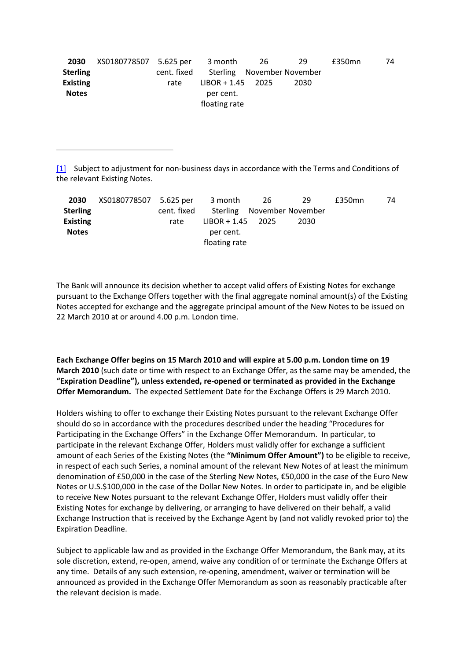| 2030            | XS0180778507 5.625 per |             | 3 month             | -26 | 29                         | £350mn | 74 |
|-----------------|------------------------|-------------|---------------------|-----|----------------------------|--------|----|
| <b>Sterling</b> |                        | cent. fixed |                     |     | Sterling November November |        |    |
| <b>Existing</b> |                        | rate        | $LIBOR + 1.45$ 2025 |     | 2030                       |        |    |
| <b>Notes</b>    |                        |             | per cent.           |     |                            |        |    |
|                 |                        |             | floating rate       |     |                            |        |    |

[\[1\]](http://www.aib.ie/servlet/ContentServer?pagename=PressOffice/AIB_Press_Releas/aib_po_d_press_releases-0_08&cid=1267454455572&poSection=AR&poSubSection=paDA&position=notfirst&rank=top&month=03&year=2010#_ftnref1) Subject to adjustment for non-business days in accordance with the Terms and Conditions of the relevant Existing Notes.

| 2030            | XS0180778507 5.625 per |             | 3 month             | 26                         | 29   | £350mn | 74 |
|-----------------|------------------------|-------------|---------------------|----------------------------|------|--------|----|
| <b>Sterling</b> |                        | cent. fixed |                     | Sterling November November |      |        |    |
| <b>Existing</b> |                        | rate        | $LIBOR + 1.45$ 2025 |                            | 2030 |        |    |
| <b>Notes</b>    |                        |             | per cent.           |                            |      |        |    |
|                 |                        |             | floating rate       |                            |      |        |    |

The Bank will announce its decision whether to accept valid offers of Existing Notes for exchange pursuant to the Exchange Offers together with the final aggregate nominal amount(s) of the Existing Notes accepted for exchange and the aggregate principal amount of the New Notes to be issued on 22 March 2010 at or around 4.00 p.m. London time.

**Each Exchange Offer begins on 15 March 2010 and will expire at 5.00 p.m. London time on 19 March 2010** (such date or time with respect to an Exchange Offer, as the same may be amended, the **"Expiration Deadline"), unless extended, re-opened or terminated as provided in the Exchange Offer Memorandum.** The expected Settlement Date for the Exchange Offers is 29 March 2010.

Holders wishing to offer to exchange their Existing Notes pursuant to the relevant Exchange Offer should do so in accordance with the procedures described under the heading "Procedures for Participating in the Exchange Offers" in the Exchange Offer Memorandum. In particular, to participate in the relevant Exchange Offer, Holders must validly offer for exchange a sufficient amount of each Series of the Existing Notes (the **"Minimum Offer Amount")** to be eligible to receive, in respect of each such Series, a nominal amount of the relevant New Notes of at least the minimum denomination of £50,000 in the case of the Sterling New Notes, €50,000 in the case of the Euro New Notes or U.S.\$100,000 in the case of the Dollar New Notes. In order to participate in, and be eligible to receive New Notes pursuant to the relevant Exchange Offer, Holders must validly offer their Existing Notes for exchange by delivering, or arranging to have delivered on their behalf, a valid Exchange Instruction that is received by the Exchange Agent by (and not validly revoked prior to) the Expiration Deadline.

Subject to applicable law and as provided in the Exchange Offer Memorandum, the Bank may, at its sole discretion, extend, re-open, amend, waive any condition of or terminate the Exchange Offers at any time. Details of any such extension, re-opening, amendment, waiver or termination will be announced as provided in the Exchange Offer Memorandum as soon as reasonably practicable after the relevant decision is made.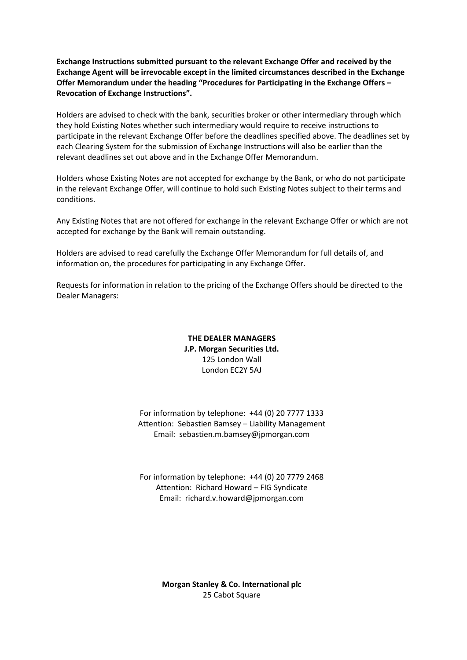**Exchange Instructions submitted pursuant to the relevant Exchange Offer and received by the Exchange Agent will be irrevocable except in the limited circumstances described in the Exchange Offer Memorandum under the heading "Procedures for Participating in the Exchange Offers – Revocation of Exchange Instructions".**

Holders are advised to check with the bank, securities broker or other intermediary through which they hold Existing Notes whether such intermediary would require to receive instructions to participate in the relevant Exchange Offer before the deadlines specified above. The deadlines set by each Clearing System for the submission of Exchange Instructions will also be earlier than the relevant deadlines set out above and in the Exchange Offer Memorandum.

Holders whose Existing Notes are not accepted for exchange by the Bank, or who do not participate in the relevant Exchange Offer, will continue to hold such Existing Notes subject to their terms and conditions.

Any Existing Notes that are not offered for exchange in the relevant Exchange Offer or which are not accepted for exchange by the Bank will remain outstanding.

Holders are advised to read carefully the Exchange Offer Memorandum for full details of, and information on, the procedures for participating in any Exchange Offer.

Requests for information in relation to the pricing of the Exchange Offers should be directed to the Dealer Managers:

> **THE DEALER MANAGERS J.P. Morgan Securities Ltd.** 125 London Wall London EC2Y 5AJ

For information by telephone: +44 (0) 20 7777 1333 Attention: Sebastien Bamsey – Liability Management Email: sebastien.m.bamsey@jpmorgan.com

For information by telephone: +44 (0) 20 7779 2468 Attention: Richard Howard – FIG Syndicate Email: richard.v.howard@jpmorgan.com

> **Morgan Stanley & Co. International plc** 25 Cabot Square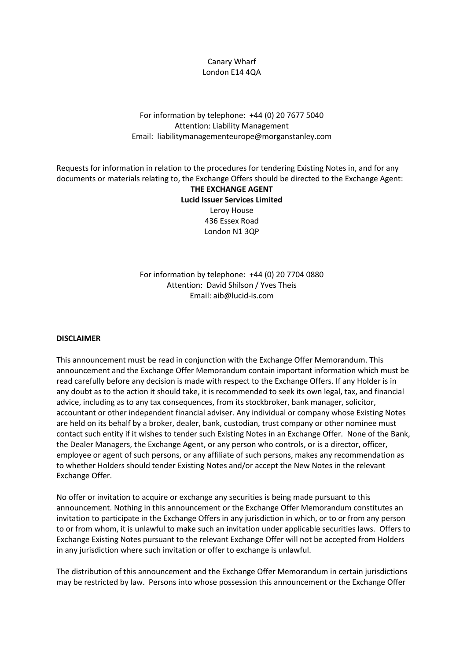## Canary Wharf London E14 4QA

# For information by telephone: +44 (0) 20 7677 5040 Attention: Liability Management Email: liabilitymanagementeurope@morganstanley.com

Requests for information in relation to the procedures for tendering Existing Notes in, and for any documents or materials relating to, the Exchange Offers should be directed to the Exchange Agent:

# **THE EXCHANGE AGENT Lucid Issuer Services Limited** Leroy House 436 Essex Road London N1 3QP

For information by telephone: +44 (0) 20 7704 0880 Attention: David Shilson / Yves Theis Email: aib@lucid-is.com

#### **DISCLAIMER**

This announcement must be read in conjunction with the Exchange Offer Memorandum. This announcement and the Exchange Offer Memorandum contain important information which must be read carefully before any decision is made with respect to the Exchange Offers. If any Holder is in any doubt as to the action it should take, it is recommended to seek its own legal, tax, and financial advice, including as to any tax consequences, from its stockbroker, bank manager, solicitor, accountant or other independent financial adviser. Any individual or company whose Existing Notes are held on its behalf by a broker, dealer, bank, custodian, trust company or other nominee must contact such entity if it wishes to tender such Existing Notes in an Exchange Offer. None of the Bank, the Dealer Managers, the Exchange Agent, or any person who controls, or is a director, officer, employee or agent of such persons, or any affiliate of such persons, makes any recommendation as to whether Holders should tender Existing Notes and/or accept the New Notes in the relevant Exchange Offer.

No offer or invitation to acquire or exchange any securities is being made pursuant to this announcement. Nothing in this announcement or the Exchange Offer Memorandum constitutes an invitation to participate in the Exchange Offers in any jurisdiction in which, or to or from any person to or from whom, it is unlawful to make such an invitation under applicable securities laws. Offers to Exchange Existing Notes pursuant to the relevant Exchange Offer will not be accepted from Holders in any jurisdiction where such invitation or offer to exchange is unlawful.

The distribution of this announcement and the Exchange Offer Memorandum in certain jurisdictions may be restricted by law. Persons into whose possession this announcement or the Exchange Offer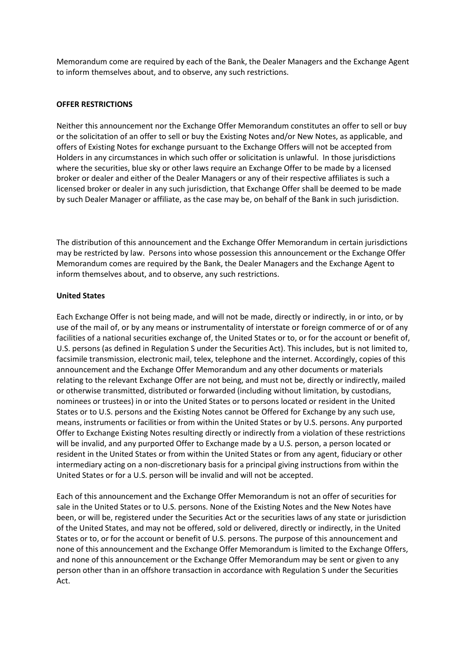Memorandum come are required by each of the Bank, the Dealer Managers and the Exchange Agent to inform themselves about, and to observe, any such restrictions.

#### **OFFER RESTRICTIONS**

Neither this announcement nor the Exchange Offer Memorandum constitutes an offer to sell or buy or the solicitation of an offer to sell or buy the Existing Notes and/or New Notes, as applicable, and offers of Existing Notes for exchange pursuant to the Exchange Offers will not be accepted from Holders in any circumstances in which such offer or solicitation is unlawful. In those jurisdictions where the securities, blue sky or other laws require an Exchange Offer to be made by a licensed broker or dealer and either of the Dealer Managers or any of their respective affiliates is such a licensed broker or dealer in any such jurisdiction, that Exchange Offer shall be deemed to be made by such Dealer Manager or affiliate, as the case may be, on behalf of the Bank in such jurisdiction.

The distribution of this announcement and the Exchange Offer Memorandum in certain jurisdictions may be restricted by law. Persons into whose possession this announcement or the Exchange Offer Memorandum comes are required by the Bank, the Dealer Managers and the Exchange Agent to inform themselves about, and to observe, any such restrictions.

#### **United States**

Each Exchange Offer is not being made, and will not be made, directly or indirectly, in or into, or by use of the mail of, or by any means or instrumentality of interstate or foreign commerce of or of any facilities of a national securities exchange of, the United States or to, or for the account or benefit of, U.S. persons (as defined in Regulation S under the Securities Act). This includes, but is not limited to, facsimile transmission, electronic mail, telex, telephone and the internet. Accordingly, copies of this announcement and the Exchange Offer Memorandum and any other documents or materials relating to the relevant Exchange Offer are not being, and must not be, directly or indirectly, mailed or otherwise transmitted, distributed or forwarded (including without limitation, by custodians, nominees or trustees) in or into the United States or to persons located or resident in the United States or to U.S. persons and the Existing Notes cannot be Offered for Exchange by any such use, means, instruments or facilities or from within the United States or by U.S. persons. Any purported Offer to Exchange Existing Notes resulting directly or indirectly from a violation of these restrictions will be invalid, and any purported Offer to Exchange made by a U.S. person, a person located or resident in the United States or from within the United States or from any agent, fiduciary or other intermediary acting on a non-discretionary basis for a principal giving instructions from within the United States or for a U.S. person will be invalid and will not be accepted.

Each of this announcement and the Exchange Offer Memorandum is not an offer of securities for sale in the United States or to U.S. persons. None of the Existing Notes and the New Notes have been, or will be, registered under the Securities Act or the securities laws of any state or jurisdiction of the United States, and may not be offered, sold or delivered, directly or indirectly, in the United States or to, or for the account or benefit of U.S. persons. The purpose of this announcement and none of this announcement and the Exchange Offer Memorandum is limited to the Exchange Offers, and none of this announcement or the Exchange Offer Memorandum may be sent or given to any person other than in an offshore transaction in accordance with Regulation S under the Securities Act.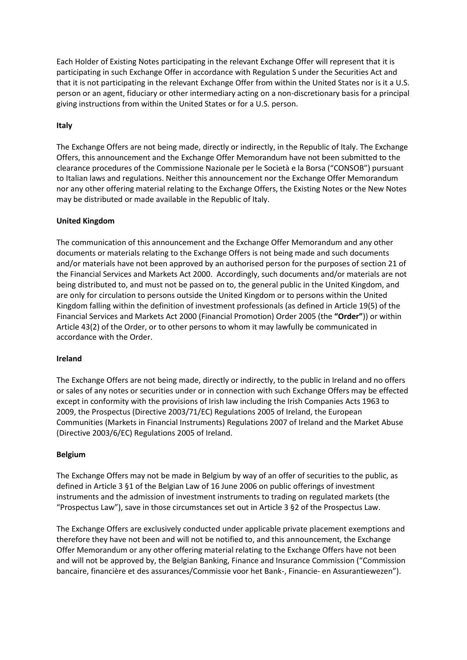Each Holder of Existing Notes participating in the relevant Exchange Offer will represent that it is participating in such Exchange Offer in accordance with Regulation S under the Securities Act and that it is not participating in the relevant Exchange Offer from within the United States nor is it a U.S. person or an agent, fiduciary or other intermediary acting on a non-discretionary basis for a principal giving instructions from within the United States or for a U.S. person.

# **Italy**

The Exchange Offers are not being made, directly or indirectly, in the Republic of Italy. The Exchange Offers, this announcement and the Exchange Offer Memorandum have not been submitted to the clearance procedures of the Commissione Nazionale per le Società e la Borsa ("CONSOB") pursuant to Italian laws and regulations. Neither this announcement nor the Exchange Offer Memorandum nor any other offering material relating to the Exchange Offers, the Existing Notes or the New Notes may be distributed or made available in the Republic of Italy.

# **United Kingdom**

The communication of this announcement and the Exchange Offer Memorandum and any other documents or materials relating to the Exchange Offers is not being made and such documents and/or materials have not been approved by an authorised person for the purposes of section 21 of the Financial Services and Markets Act 2000. Accordingly, such documents and/or materials are not being distributed to, and must not be passed on to, the general public in the United Kingdom, and are only for circulation to persons outside the United Kingdom or to persons within the United Kingdom falling within the definition of investment professionals (as defined in Article 19(5) of the Financial Services and Markets Act 2000 (Financial Promotion) Order 2005 (the **"Order"**)) or within Article 43(2) of the Order, or to other persons to whom it may lawfully be communicated in accordance with the Order.

#### **Ireland**

The Exchange Offers are not being made, directly or indirectly, to the public in Ireland and no offers or sales of any notes or securities under or in connection with such Exchange Offers may be effected except in conformity with the provisions of Irish law including the Irish Companies Acts 1963 to 2009, the Prospectus (Directive 2003/71/EC) Regulations 2005 of Ireland, the European Communities (Markets in Financial Instruments) Regulations 2007 of Ireland and the Market Abuse (Directive 2003/6/EC) Regulations 2005 of Ireland.

#### **Belgium**

The Exchange Offers may not be made in Belgium by way of an offer of securities to the public, as defined in Article 3 §1 of the Belgian Law of 16 June 2006 on public offerings of investment instruments and the admission of investment instruments to trading on regulated markets (the "Prospectus Law"), save in those circumstances set out in Article 3 §2 of the Prospectus Law.

The Exchange Offers are exclusively conducted under applicable private placement exemptions and therefore they have not been and will not be notified to, and this announcement, the Exchange Offer Memorandum or any other offering material relating to the Exchange Offers have not been and will not be approved by, the Belgian Banking, Finance and Insurance Commission ("Commission bancaire, financière et des assurances/Commissie voor het Bank-, Financie- en Assurantiewezen").